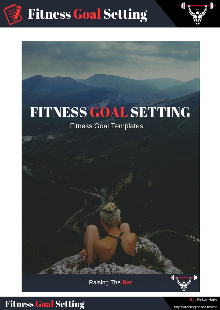

# **FITNESS GOAL SETTING**

### **Fitness Goal Templates**

Raising The Bar



### **Fitness Goal Setting**

By: Finbar Harte https://raisingthebar.fitness

III

M.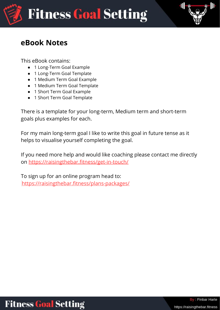

### **eBook Notes**

This eBook contains:

- 1 Long-Term Goal Example
- 1 Long-Term Goal Template
- 1 Medium Term Goal Example
- 1 Medium Term Goal Template
- 1 Short Term Goal Example
- 1 Short Term Goal Template

There is a template for your long-term, Medium term and short-term goals plus examples for each.

For my main long-term goal I like to write this goal in future tense as it helps to visualise yourself completing the goal.

If you need more help and would like coaching please contact me directly on <https://raisingthebar.fitness/get-in-touch/>

To sign up for an online program head to: <https://raisingthebar.fitness/plans-packages/>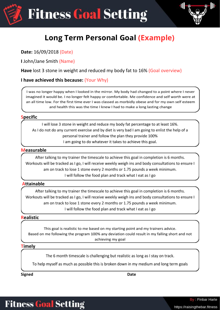



### **Long Term Personal Goal (Example)**

**Date:** 16/09/2018 (Date)

**I** John/Jane Smith (Name)

**Have** lost 3 stone in weight and reduced my body fat to 16% (Goal overview)

#### **I have achieved this because:** (Your Why)

I was no longer happy when I looked in the mirror. My body had changed to a point where I never imagined it would be. I no longer felt happy or comfortable. Me confidence and self worth were at an all time low. For the first time ever I was classed as morbidly obese and for my own self esteem and health this was the time I knew I had to make a long lasting change

#### **Specific**

I will lose 3 stone in weight and reduce my body fat percentage to at least 16%. As I do not do any current exercise and by diet is very bad I am going to enlist the help of a personal trainer and follow the plan they provide 100% I am going to do whatever it takes to achieve this goal.

#### **Measurable**

After talking to my trainer the timescale to achieve this goal in completion is 6 months. Workouts will be tracked as I go, I will receive weekly weigh ins and body consultations to ensure I am on track to lose 1 stone every 2 months or 1.75 pounds a week minimum. I will follow the food plan and track what I eat as I go

#### **Attainable**

After talking to my trainer the timescale to achieve this goal in completion is 6 months. Workouts will be tracked as I go, I will receive weekly weigh ins and body consultations to ensure I am on track to lose 1 stone every 2 months or 1.75 pounds a week minimum. I will follow the food plan and track what I eat as I go

#### **Realistic**

This goal is realistic to me based on my starting point and my trainers advice. Based on me following the program 100% any deviation could result in my falling short and not achieving my goal

#### **Timely**

The 6 month timescale is challenging but realistic as long as I stay on track.

To help myself as much as possible this is broken down in my medium and long term goals

**Signed Date**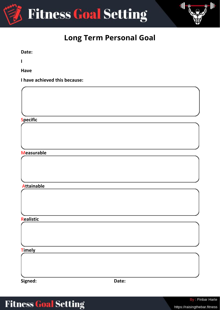



### **Long Term Personal Goal**

**Date:**

**I**

**Have**

**I have achieved this because:**

**Specific**

#### **Measurable**

**Attainable**

**Realistic**

**Timely**

**Signed: Date:**

## **Fitness Goal Setting**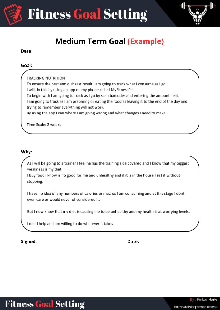



### **Medium Term Goal (Example)**

#### **Date:**

#### **Goal:**

**TRACKING NUTRITION** 

To ensure the best and quickest result I am going to track what I consume as I go.

I will do this by using an app on my phone called MyFitnessPal.

To begin with I am going to track as I go by scan barcodes and entering the amount I eat.

I am going to track as I am preparing or eating the food as leaving it to the end of the day and trying to remember everything will not work.

By using the app I can where I am going wrong and what changes I need to make.

Time Scale: 2 weeks

#### **Why:**

As I will be going to a trainer I feel he has the training side covered and I know that my biggest weakness is my diet.

I buy food I know is no good for me and unhealthy and if it is in the house I eat it without stopping.

I have no idea of any numbers of calories or macros I am consuming and at this stage I dont even care or would never of considered it.

But I now know that my diet is causing me to be unhealthy and my health is at worrying levels.

I need help and am willing to do whatever it takes

**Signed: Date:**

https://raisingthebar.fitness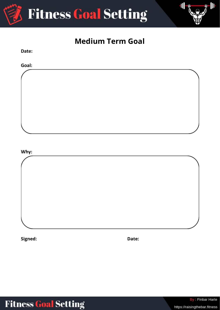



### **Medium Term Goal**

**Goal: Why:**

**Signed: Date:**

**Date:**

# **Fitness Goal Setting**

By: Finbar Harte

https://raisingthebar.fitness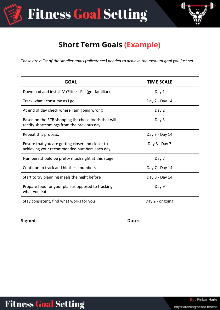**Fitness Goal Setting** 



### **Short Term Goals (Example)**

*These are a list of the smaller goals (milestones) needed to achieve the medium goal you just set*

| <b>GOAL</b>                                                                                        | <b>TIME SCALE</b> |
|----------------------------------------------------------------------------------------------------|-------------------|
| Download and install MYFitnessPal (get familiar)                                                   | Day 1             |
| Track what I consume as I go                                                                       | Day 2 - Day 14    |
| At end of day check where I am going wrong                                                         | Day 2             |
| Based on the RTB shopping list chose foods that will<br>rectify shortcomings from the previous day | Day 3             |
| Repeat this process.                                                                               | Day 3 - Day 14    |
| Ensure that you are getting closer and closer to<br>achieving your recommended numbers each day    | Day 3 - Day 7     |
| Numbers should be pretty much right at this stage                                                  | Day 7             |
| Continue to track and hit these numbers                                                            | Day 7 - Day 14    |
| Start to try planning meals the night before                                                       | Day 8 - Day 14    |
| Prepare food for your plan as opposed to tracking<br>what you eat                                  | Day 9             |
| Stay consistent, find what works for you                                                           | Day 2 - ongoing   |

**Signed: Date:**